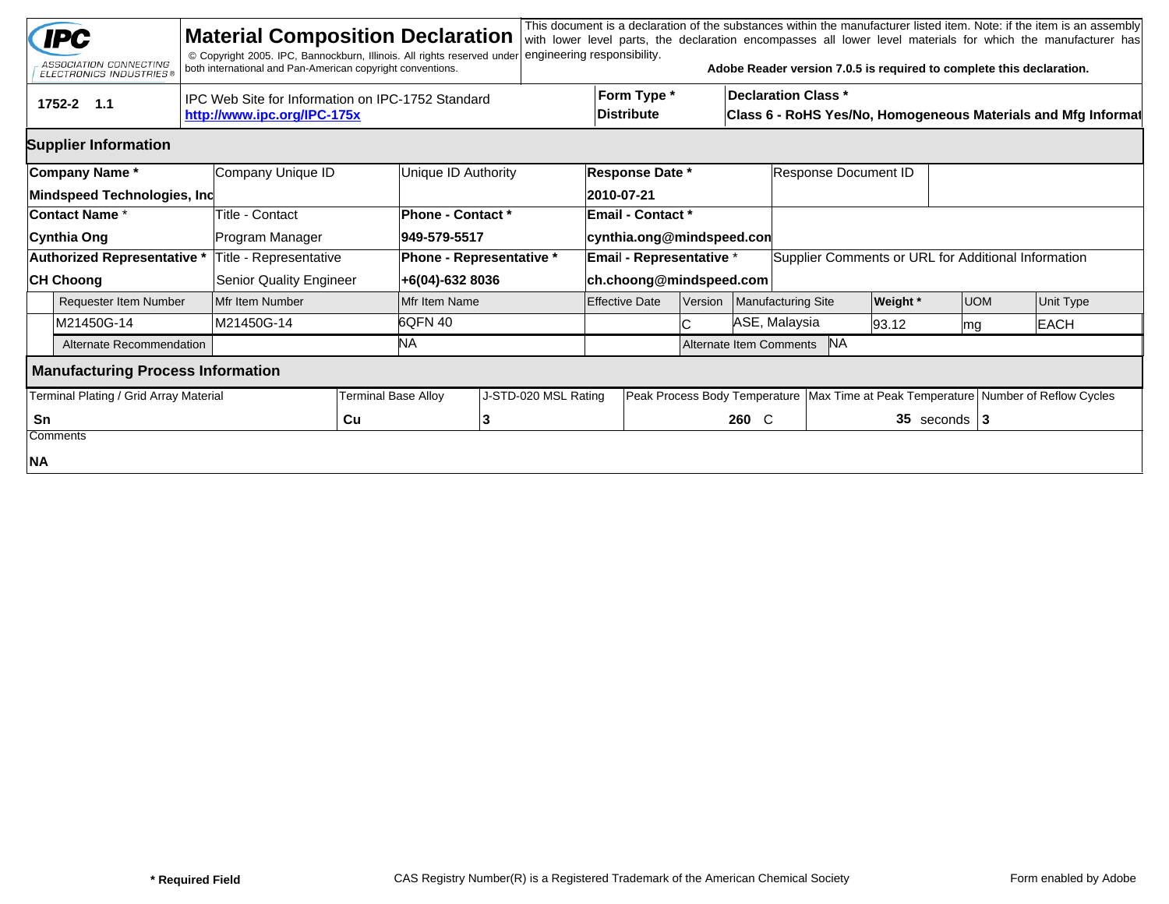|                | <b>IPC</b><br>ASSOCIATION CONNECTING<br><b>ELECTRONICS INDUSTRIES®</b> | <b>Material Composition Declaration</b><br>© Copyright 2005. IPC, Bannockburn, Illinois. All rights reserved under<br>both international and Pan-American copyright conventions. |                                          |                                                    | engineering responsibility.                           |                                                            |                         |                                                                                             |                                                     |                                                                                        | This document is a declaration of the substances within the manufacturer listed item. Note: if the item is an assembly<br>with lower level parts, the declaration encompasses all lower level materials for which the manufacturer has<br>Adobe Reader version 7.0.5 is required to complete this declaration. |  |  |  |  |
|----------------|------------------------------------------------------------------------|----------------------------------------------------------------------------------------------------------------------------------------------------------------------------------|------------------------------------------|----------------------------------------------------|-------------------------------------------------------|------------------------------------------------------------|-------------------------|---------------------------------------------------------------------------------------------|-----------------------------------------------------|----------------------------------------------------------------------------------------|----------------------------------------------------------------------------------------------------------------------------------------------------------------------------------------------------------------------------------------------------------------------------------------------------------------|--|--|--|--|
|                | tru<br>1752-2 1.1                                                      | IPC Web Site for Information on IPC-1752 Standard<br>http://www.ipc.org/IPC-175x                                                                                                 |                                          |                                                    | Form Type *<br><b>Distribute</b>                      |                                                            |                         | <b>Declaration Class *</b><br>Class 6 - RoHS Yes/No, Homogeneous Materials and Mfg Informat |                                                     |                                                                                        |                                                                                                                                                                                                                                                                                                                |  |  |  |  |
|                | <b>Supplier Information</b>                                            |                                                                                                                                                                                  |                                          |                                                    |                                                       |                                                            |                         |                                                                                             |                                                     |                                                                                        |                                                                                                                                                                                                                                                                                                                |  |  |  |  |
|                | Company Name*<br>Mindspeed Technologies, Inc                           | Company Unique ID                                                                                                                                                                | Unique ID Authority                      |                                                    | Response Date *<br>2010-07-21                         |                                                            |                         | Response Document ID                                                                        |                                                     |                                                                                        |                                                                                                                                                                                                                                                                                                                |  |  |  |  |
|                | <b>Contact Name *</b><br>Cynthia Ong                                   | Title - Contact<br>Program Manager                                                                                                                                               | <b>Phone - Contact *</b><br>949-579-5517 |                                                    | <b>Email - Contact *</b><br>cynthia.ong@mindspeed.con |                                                            |                         |                                                                                             |                                                     |                                                                                        |                                                                                                                                                                                                                                                                                                                |  |  |  |  |
|                | Authorized Representative *<br><b>CH Choong</b>                        | Title - Representative<br>Senior Quality Engineer                                                                                                                                |                                          | <b>Phone - Representative *</b><br>+6(04)-632 8036 |                                                       | <b>Email - Representative *</b><br>ch.choong@mindspeed.com |                         |                                                                                             | Supplier Comments or URL for Additional Information |                                                                                        |                                                                                                                                                                                                                                                                                                                |  |  |  |  |
|                | <b>Requester Item Number</b>                                           | Mfr Item Number                                                                                                                                                                  | Mfr Item Name                            |                                                    | <b>Effective Date</b>                                 | Version                                                    | Manufacturing Site      |                                                                                             | <b>Weight</b> *                                     | <b>UOM</b>                                                                             | Unit Type                                                                                                                                                                                                                                                                                                      |  |  |  |  |
| M21450G-14     |                                                                        | M21450G-14                                                                                                                                                                       | 6QFN 40                                  |                                                    |                                                       | C                                                          | ASE, Malaysia           |                                                                                             | 93.12                                               | lmg                                                                                    | <b>EACH</b>                                                                                                                                                                                                                                                                                                    |  |  |  |  |
|                | Alternate Recommendation                                               |                                                                                                                                                                                  | NA.                                      |                                                    |                                                       |                                                            | Alternate Item Comments | <b>NA</b>                                                                                   |                                                     |                                                                                        |                                                                                                                                                                                                                                                                                                                |  |  |  |  |
|                | <b>Manufacturing Process Information</b>                               |                                                                                                                                                                                  |                                          |                                                    |                                                       |                                                            |                         |                                                                                             |                                                     |                                                                                        |                                                                                                                                                                                                                                                                                                                |  |  |  |  |
|                | Terminal Plating / Grid Array Material                                 |                                                                                                                                                                                  | Terminal Base Alloy                      | J-STD-020 MSL Rating                               |                                                       |                                                            |                         |                                                                                             |                                                     | Peak Process Body Temperature   Max Time at Peak Temperature   Number of Reflow Cycles |                                                                                                                                                                                                                                                                                                                |  |  |  |  |
| Sn<br>Comments |                                                                        |                                                                                                                                                                                  | Cu                                       | 3                                                  |                                                       |                                                            | 260 C                   |                                                                                             |                                                     | 35 seconds $ 3 $                                                                       |                                                                                                                                                                                                                                                                                                                |  |  |  |  |
| NA             |                                                                        |                                                                                                                                                                                  |                                          |                                                    |                                                       |                                                            |                         |                                                                                             |                                                     |                                                                                        |                                                                                                                                                                                                                                                                                                                |  |  |  |  |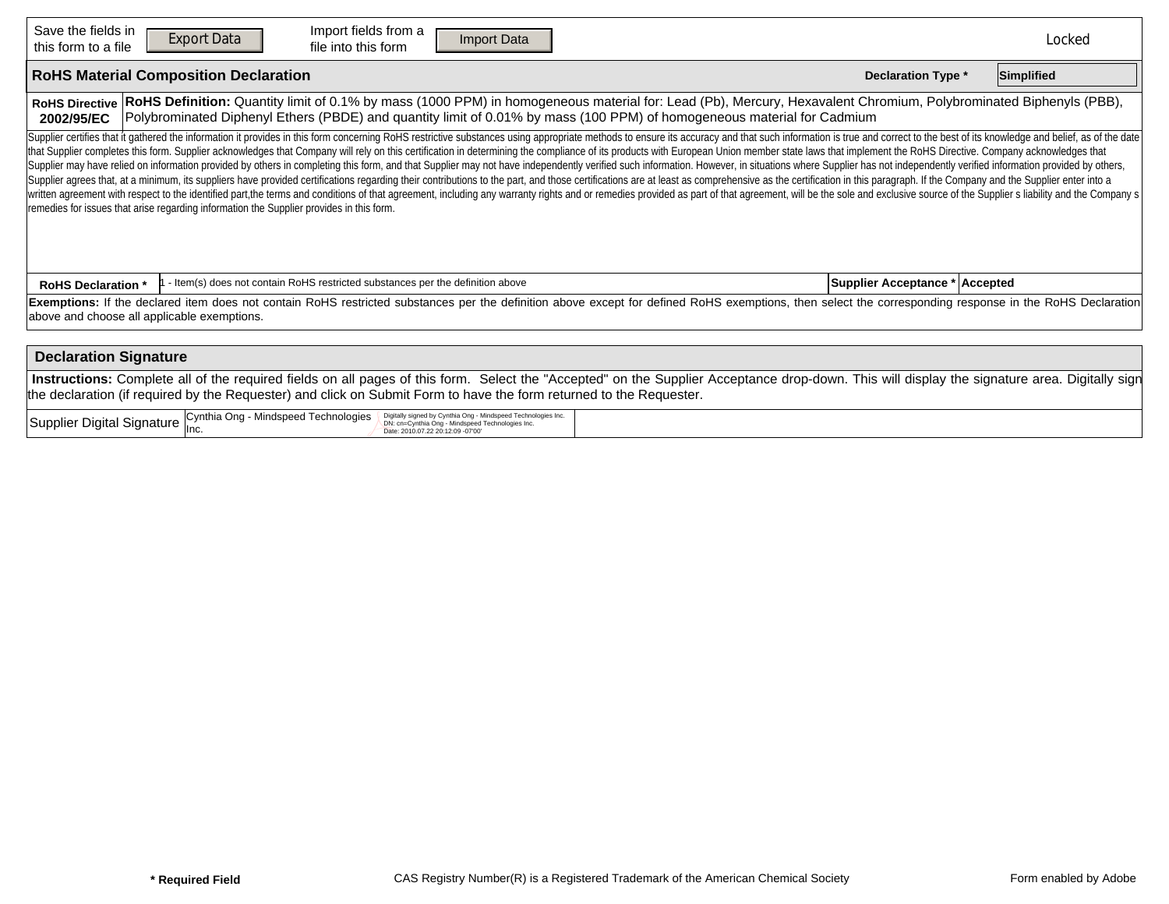| Save the fields in<br>this form to a file                                                                                                                                                                                                                                                                                          | Import fields from a<br><b>Export Data</b><br>Import Data<br><b>Reset Form</b><br>file into this form                                                                                                                                                                                                                                                                                                                                                                                                                                                                                                                                                                                                                                                                                                                                                                                                                                                                                                                                                                                                                                                                                                                                                              |  | Locked |  |  |  |  |  |  |  |  |  |
|------------------------------------------------------------------------------------------------------------------------------------------------------------------------------------------------------------------------------------------------------------------------------------------------------------------------------------|--------------------------------------------------------------------------------------------------------------------------------------------------------------------------------------------------------------------------------------------------------------------------------------------------------------------------------------------------------------------------------------------------------------------------------------------------------------------------------------------------------------------------------------------------------------------------------------------------------------------------------------------------------------------------------------------------------------------------------------------------------------------------------------------------------------------------------------------------------------------------------------------------------------------------------------------------------------------------------------------------------------------------------------------------------------------------------------------------------------------------------------------------------------------------------------------------------------------------------------------------------------------|--|--------|--|--|--|--|--|--|--|--|--|
| <b>RoHS Material Composition Declaration</b><br><b>Declaration Type *</b>                                                                                                                                                                                                                                                          |                                                                                                                                                                                                                                                                                                                                                                                                                                                                                                                                                                                                                                                                                                                                                                                                                                                                                                                                                                                                                                                                                                                                                                                                                                                                    |  |        |  |  |  |  |  |  |  |  |  |
| RoHS Definition: Quantity limit of 0.1% by mass (1000 PPM) in homogeneous material for: Lead (Pb), Mercury, Hexavalent Chromium, Polybrominated Biphenyls (PBB),<br><b>RoHS Directive</b><br>Polybrominated Diphenyl Ethers (PBDE) and quantity limit of 0.01% by mass (100 PPM) of homogeneous material for Cadmium<br>2002/95/EC |                                                                                                                                                                                                                                                                                                                                                                                                                                                                                                                                                                                                                                                                                                                                                                                                                                                                                                                                                                                                                                                                                                                                                                                                                                                                    |  |        |  |  |  |  |  |  |  |  |  |
|                                                                                                                                                                                                                                                                                                                                    | Supplier certifies that it gathered the information it provides in this form concerning RoHS restrictive substances using appropriate methods to ensure its accuracy and that such information is true and correct to the best<br>that Supplier completes this form. Supplier acknowledges that Company will rely on this certification in determining the compliance of its products with European Union member state laws that implement the RoHS Directive. C<br>Supplier may have relied on information provided by others in completing this form, and that Supplier may not have independently verified such information. However, in situations where Supplier has not independently verifi<br>Supplier agrees that, at a minimum, its suppliers have provided certifications regarding their contributions to the part, and those certifications are at least as comprehensive as the certification in this paragraph. If th<br>written agreement with respect to the identified part,the terms and conditions of that agreement, including any warranty rights and or remedies provided as part of that agreement, will be the sole and exclusive source of t<br>remedies for issues that arise regarding information the Supplier provides in this form. |  |        |  |  |  |  |  |  |  |  |  |
| <b>RoHS Declaration *</b>                                                                                                                                                                                                                                                                                                          | Supplier Acceptance * Accepted<br>- Item(s) does not contain RoHS restricted substances per the definition above                                                                                                                                                                                                                                                                                                                                                                                                                                                                                                                                                                                                                                                                                                                                                                                                                                                                                                                                                                                                                                                                                                                                                   |  |        |  |  |  |  |  |  |  |  |  |
| Exemptions: If the declared item does not contain RoHS restricted substances per the definition above except for defined RoHS exemptions, then select the corresponding response in the RoHS Declaration<br>above and choose all applicable exemptions.                                                                            |                                                                                                                                                                                                                                                                                                                                                                                                                                                                                                                                                                                                                                                                                                                                                                                                                                                                                                                                                                                                                                                                                                                                                                                                                                                                    |  |        |  |  |  |  |  |  |  |  |  |
| <b>Declaration Signature</b>                                                                                                                                                                                                                                                                                                       |                                                                                                                                                                                                                                                                                                                                                                                                                                                                                                                                                                                                                                                                                                                                                                                                                                                                                                                                                                                                                                                                                                                                                                                                                                                                    |  |        |  |  |  |  |  |  |  |  |  |
| Instructions: Complete all of the required fields on all pages of this form. Select the "Accepted" on the Supplier Acceptance drop-down. This will display the signature area. Digitally sign<br>the declaration (if required by the Requester) and click on Submit Form to have the form returned to the Requester.               |                                                                                                                                                                                                                                                                                                                                                                                                                                                                                                                                                                                                                                                                                                                                                                                                                                                                                                                                                                                                                                                                                                                                                                                                                                                                    |  |        |  |  |  |  |  |  |  |  |  |
|                                                                                                                                                                                                                                                                                                                                    | Supplier Digital Signature Cynthia Ong - Mindspeed Technologies<br>Digitally signed by Cynthia Ong - Mindspeed Technologies Inc.<br>DN: cn=Cynthia Ong - Mindspeed Technologies Inc.<br>Date: 2010.07.22 20:12:09 -07'00'                                                                                                                                                                                                                                                                                                                                                                                                                                                                                                                                                                                                                                                                                                                                                                                                                                                                                                                                                                                                                                          |  |        |  |  |  |  |  |  |  |  |  |